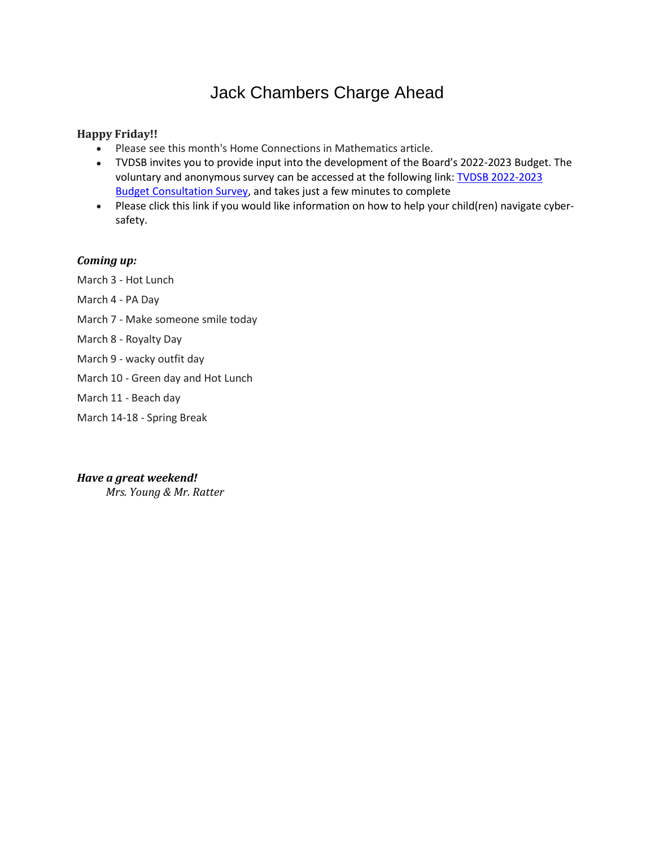# Jack Chambers Charge Ahead

#### **Happy Friday!!**

- Please see this month's Home Connections in Mathematics article.
- TVDSB invites you to provide input into the development of the Board's 2022-2023 Budget. The voluntary and anonymous survey can be accessed at the following link: TVDSB [2022-2023](https://tvdsb.ca1.qualtrics.com/jfe/form/SV_ey3LKZ2VaDLssmy) Budget [Consultation](https://tvdsb.ca1.qualtrics.com/jfe/form/SV_ey3LKZ2VaDLssmy) Survey, and takes just a few minutes to complete
- Please click this link if you would like information on how to help your child(ren) navigate cybersafety.

#### *Coming up:*

March 3 - Hot Lunch

- March 4 PA Day
- March 7 Make someone smile today
- March 8 Royalty Day
- March 9 wacky outfit day
- March 10 Green day and Hot Lunch
- March 11 Beach day
- March 14-18 Spring Break

#### *Have a great weekend!*

*Mrs. Young & Mr. Ratter*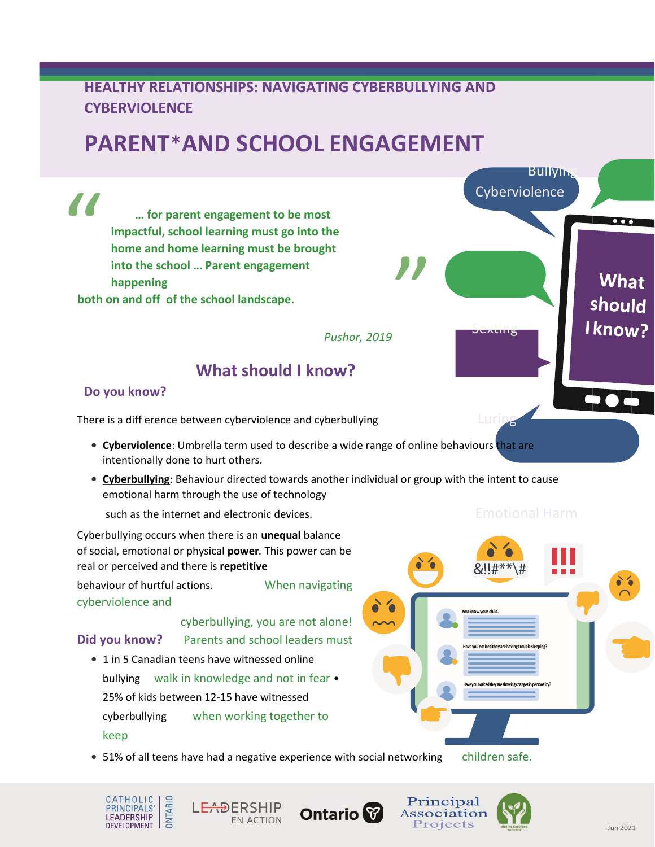# **HEALTHY RELATIONSHIPS: NAVIGATING CYBERBULLYING AND CYBERVIOLENCE**

# **PARENT**\***AND SCHOOL ENGAGEMENT**

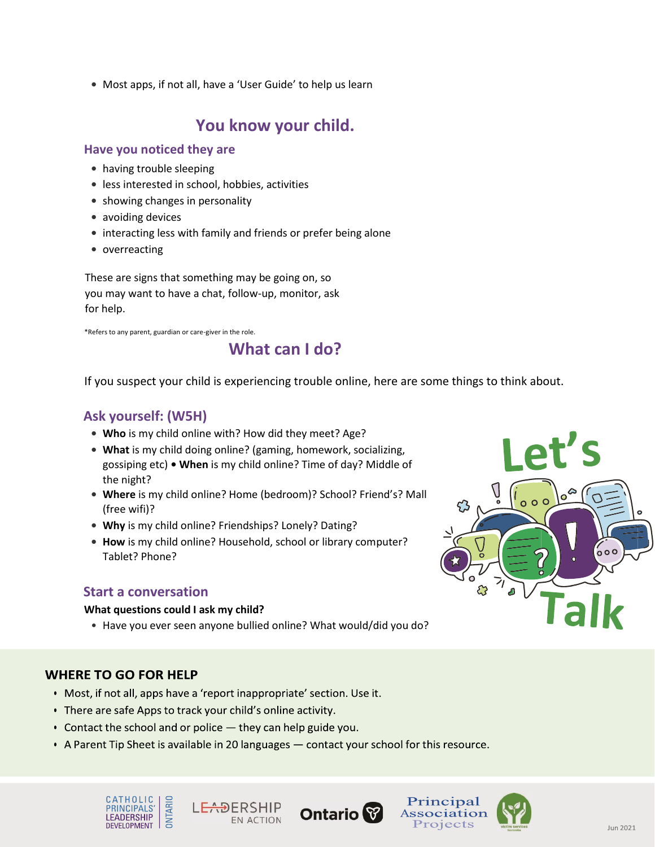**•** Most apps, if not all, have a 'User Guide' to help us learn

# **You know your child.**

### **Have you noticed they are**

- **•** having trouble sleeping
- **•** less interested in school, hobbies, activities
- **•** showing changes in personality
- **•** avoiding devices
- **•** interacting less with family and friends or prefer being alone
- **•** overreacting

These are signs that something may be going on, so you may want to have a chat, follow-up, monitor, ask for help.

\*Refers to any parent, guardian or care-giver in the role.

# **What can I do?**

If you suspect your child is experiencing trouble online, here are some things to think about.

# **Ask yourself: (W5H)**

- **• Who** is my child online with? How did they meet? Age?
- **• What** is my child doing online? (gaming, homework, socializing, gossiping etc) **• When** is my child online? Time of day? Middle of the night?
- **• Where** is my child online? Home (bedroom)? School? Friend's? Mall (free wifi)?
- **• Why** is my child online? Friendships? Lonely? Dating?
- **• How** is my child online? Household, school or library computer? Tablet? Phone?

### **Start a conversation**

### **What questions could I ask my child?**

• Have you ever seen anyone bullied online? What would/did you do?

### **WHERE TO GO FOR HELP**

- Most, if not all, apps have a 'report inappropriate' section. Use it.
- There are safe Apps to track your child's online activity.
- Contact the school and or police  $-$  they can help guide you.
- A Parent Tip Sheet is available in 20 languages contact your school for this resource.







Principal

Association

Projects

 $000$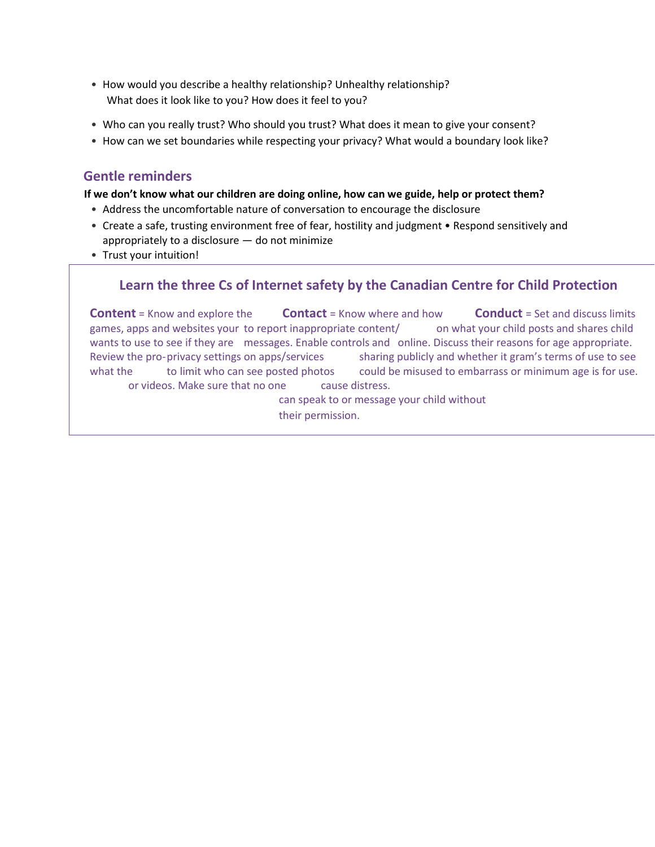- How would you describe a healthy relationship? Unhealthy relationship? What does it look like to you? How does it feel to you?
- Who can you really trust? Who should you trust? What does it mean to give your consent?
- How can we set boundaries while respecting your privacy? What would a boundary look like?

## **Gentle reminders**

### **If we don't know what our children are doing online, how can we guide, help or protect them?**

- Address the uncomfortable nature of conversation to encourage the disclosure
- Create a safe, trusting environment free of fear, hostility and judgment Respond sensitively and appropriately to a disclosure — do not minimize
- Trust your intuition!

# **Learn the three Cs of Internet safety by the Canadian Centre for Child Protection**

**Content** = Know and explore the **Contact** = Know where and how **Conduct** = Set and discuss limits games, apps and websites your to report inappropriate content/ on what your child posts and shares child wants to use to see if they are messages. Enable controls and online. Discuss their reasons for age appropriate. Review the pro-privacy settings on apps/services sharing publicly and whether it gram's terms of use to see what the to limit who can see posted photos could be misused to embarrass or minimum age is for use. or videos. Make sure that no one cause distress.

can speak to or message your child without their permission.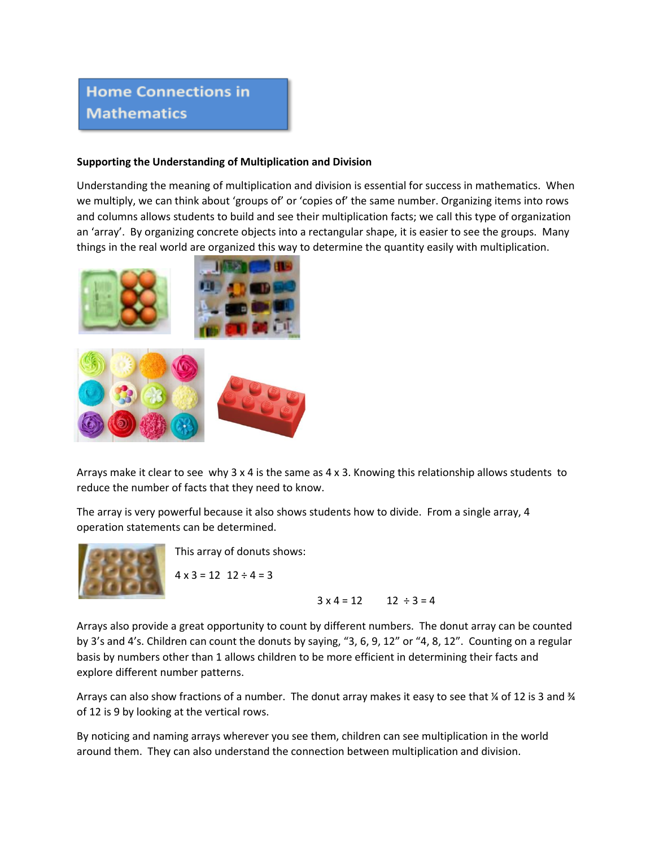# **Home Connections in Mathematics**

#### **Supporting the Understanding of Multiplication and Division**

Understanding the meaning of multiplication and division is essential for success in mathematics. When we multiply, we can think about 'groups of' or 'copies of' the same number. Organizing items into rows and columns allows students to build and see their multiplication facts; we call this type of organization an 'array'. By organizing concrete objects into a rectangular shape, it is easier to see the groups. Many things in the real world are organized this way to determine the quantity easily with multiplication.



Arrays make it clear to see why 3 x 4 is the same as 4 x 3. Knowing this relationship allows students to reduce the number of facts that they need to know.

The array is very powerful because it also shows students how to divide. From a single array, 4 operation statements can be determined.



This array of donuts shows:

 $4 \times 3 = 12$   $12 \div 4 = 3$ 

 $3 \times 4 = 12$   $12 \div 3 = 4$ 

Arrays also provide a great opportunity to count by different numbers. The donut array can be counted by 3's and 4's. Children can count the donuts by saying, "3, 6, 9, 12" or "4, 8, 12". Counting on a regular basis by numbers other than 1 allows children to be more efficient in determining their facts and explore different number patterns.

Arrays can also show fractions of a number. The donut array makes it easy to see that ¼ of 12 is 3 and ¾ of 12 is 9 by looking at the vertical rows.

By noticing and naming arrays wherever you see them, children can see multiplication in the world around them. They can also understand the connection between multiplication and division.